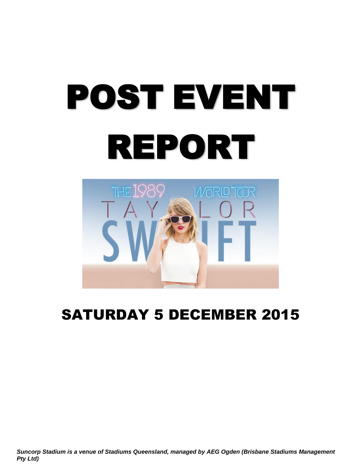# POST EVENT REPORT



# SATURDAY 5 DECEMBER 2015

*Suncorp Stadium is a venue of Stadiums Queensland, managed by AEG Ogden (Brisbane Stadiums Management Pty Ltd)*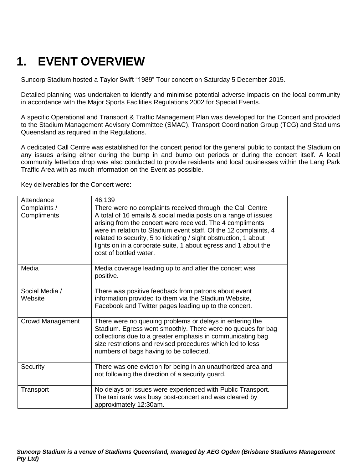# **1. EVENT OVERVIEW**

Suncorp Stadium hosted a Taylor Swift "1989" Tour concert on Saturday 5 December 2015.

Detailed planning was undertaken to identify and minimise potential adverse impacts on the local community in accordance with the Major Sports Facilities Regulations 2002 for Special Events.

A specific Operational and Transport & Traffic Management Plan was developed for the Concert and provided to the Stadium Management Advisory Committee (SMAC), Transport Coordination Group (TCG) and Stadiums Queensland as required in the Regulations.

A dedicated Call Centre was established for the concert period for the general public to contact the Stadium on any issues arising either during the bump in and bump out periods or during the concert itself. A local community letterbox drop was also conducted to provide residents and local businesses within the Lang Park Traffic Area with as much information on the Event as possible.

| Attendance                  | 46,139                                                                                                                                                                                                                                                                                                                                                                                                                       |
|-----------------------------|------------------------------------------------------------------------------------------------------------------------------------------------------------------------------------------------------------------------------------------------------------------------------------------------------------------------------------------------------------------------------------------------------------------------------|
| Complaints /<br>Compliments | There were no complaints received through the Call Centre<br>A total of 16 emails & social media posts on a range of issues<br>arising from the concert were received. The 4 compliments<br>were in relation to Stadium event staff. Of the 12 complaints, 4<br>related to security, 5 to ticketing / sight obstruction, 1 about<br>lights on in a corporate suite, 1 about egress and 1 about the<br>cost of bottled water. |
| Media                       | Media coverage leading up to and after the concert was<br>positive.                                                                                                                                                                                                                                                                                                                                                          |
| Social Media /<br>Website   | There was positive feedback from patrons about event<br>information provided to them via the Stadium Website,<br>Facebook and Twitter pages leading up to the concert.                                                                                                                                                                                                                                                       |
| Crowd Management            | There were no queuing problems or delays in entering the<br>Stadium. Egress went smoothly. There were no queues for bag<br>collections due to a greater emphasis in communicating bag<br>size restrictions and revised procedures which led to less<br>numbers of bags having to be collected.                                                                                                                               |
| Security                    | There was one eviction for being in an unauthorized area and<br>not following the direction of a security guard.                                                                                                                                                                                                                                                                                                             |
| Transport                   | No delays or issues were experienced with Public Transport.<br>The taxi rank was busy post-concert and was cleared by<br>approximately 12:30am.                                                                                                                                                                                                                                                                              |

Key deliverables for the Concert were: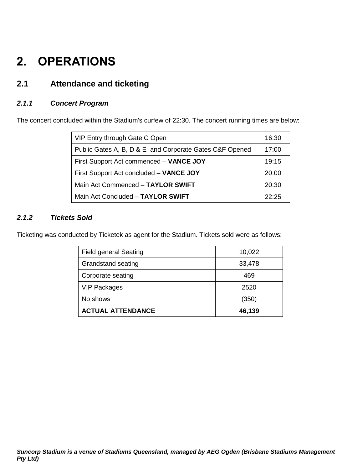# **2. OPERATIONS**

# **2.1 Attendance and ticketing**

## *2.1.1 Concert Program*

The concert concluded within the Stadium's curfew of 22:30. The concert running times are below:

| VIP Entry through Gate C Open                           | 16:30 |
|---------------------------------------------------------|-------|
| Public Gates A, B, D & E and Corporate Gates C&F Opened | 17:00 |
| First Support Act commenced - VANCE JOY                 | 19:15 |
| First Support Act concluded - VANCE JOY                 | 20:00 |
| Main Act Commenced - TAYLOR SWIFT                       | 20:30 |
| Main Act Concluded - TAYLOR SWIFT                       | 22.25 |

#### *2.1.2 Tickets Sold*

Ticketing was conducted by Ticketek as agent for the Stadium. Tickets sold were as follows:

| <b>Field general Seating</b> | 10,022 |
|------------------------------|--------|
| <b>Grandstand seating</b>    | 33,478 |
| Corporate seating            | 469    |
| <b>VIP Packages</b>          | 2520   |
| No shows                     | (350)  |
| <b>ACTUAL ATTENDANCE</b>     | 46,139 |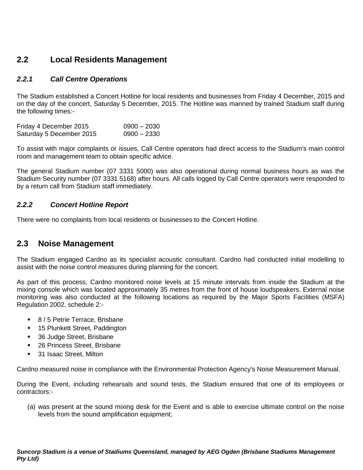## **2.2 Local Residents Management**

#### *2.2.1 Call Centre Operations*

The Stadium established a Concert Hotline for local residents and businesses from Friday 4 December, 2015 and on the day of the concert, Saturday 5 December, 2015. The Hotline was manned by trained Stadium staff during the following times:-

| Friday 4 December 2015   | $0900 - 2030$ |
|--------------------------|---------------|
| Saturday 5 December 2015 | $0900 - 2330$ |

To assist with major complaints or issues, Call Centre operators had direct access to the Stadium's main control room and management team to obtain specific advice.

The general Stadium number (07 3331 5000) was also operational during normal business hours as was the Stadium Security number (07 3331 5168) after hours. All calls logged by Call Centre operators were responded to by a return call from Stadium staff immediately.

#### *2.2.2 Concert Hotline Report*

There were no complaints from local residents or businesses to the Concert Hotline.

## **2.3 Noise Management**

The Stadium engaged Cardno as its specialist acoustic consultant. Cardno had conducted initial modelling to assist with the noise control measures during planning for the concert.

As part of this process, Cardno monitored noise levels at 15 minute intervals from inside the Stadium at the mixing console which was located approximately 35 metres from the front of house loudspeakers. External noise monitoring was also conducted at the following locations as required by the Major Sports Facilities (MSFA) Regulation 2002, schedule 2:-

- 8 / 5 Petrie Terrace, Brisbane
- **15 Plunkett Street, Paddington**
- 36 Judge Street, Brisbane
- 26 Princess Street, Brisbane
- 31 Isaac Street, Milton

Cardno measured noise in compliance with the Environmental Protection Agency's Noise Measurement Manual.

During the Event, including rehearsals and sound tests, the Stadium ensured that one of its employees or contractors:-

(a) was present at the sound mixing desk for the Event and is able to exercise ultimate control on the noise levels from the sound amplification equipment;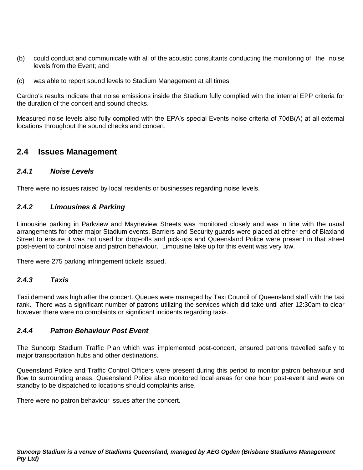- (b) could conduct and communicate with all of the acoustic consultants conducting the monitoring of the noise levels from the Event; and
- (c) was able to report sound levels to Stadium Management at all times

Cardno's results indicate that noise emissions inside the Stadium fully complied with the internal EPP criteria for the duration of the concert and sound checks.

Measured noise levels also fully complied with the EPA's special Events noise criteria of 70dB(A) at all external locations throughout the sound checks and concert.

#### **2.4 Issues Management**

#### *2.4.1 Noise Levels*

There were no issues raised by local residents or businesses regarding noise levels.

#### *2.4.2 Limousines & Parking*

Limousine parking in Parkview and Mayneview Streets was monitored closely and was in line with the usual arrangements for other major Stadium events. Barriers and Security guards were placed at either end of Blaxland Street to ensure it was not used for drop-offs and pick-ups and Queensland Police were present in that street post-event to control noise and patron behaviour. Limousine take up for this event was very low.

There were 275 parking infringement tickets issued.

#### *2.4.3 Taxis*

Taxi demand was high after the concert. Queues were managed by Taxi Council of Queensland staff with the taxi rank. There was a significant number of patrons utilizing the services which did take until after 12:30am to clear however there were no complaints or significant incidents regarding taxis.

#### *2.4.4 Patron Behaviour Post Event*

The Suncorp Stadium Traffic Plan which was implemented post-concert, ensured patrons travelled safely to major transportation hubs and other destinations.

Queensland Police and Traffic Control Officers were present during this period to monitor patron behaviour and flow to surrounding areas. Queensland Police also monitored local areas for one hour post-event and were on standby to be dispatched to locations should complaints arise.

There were no patron behaviour issues after the concert.